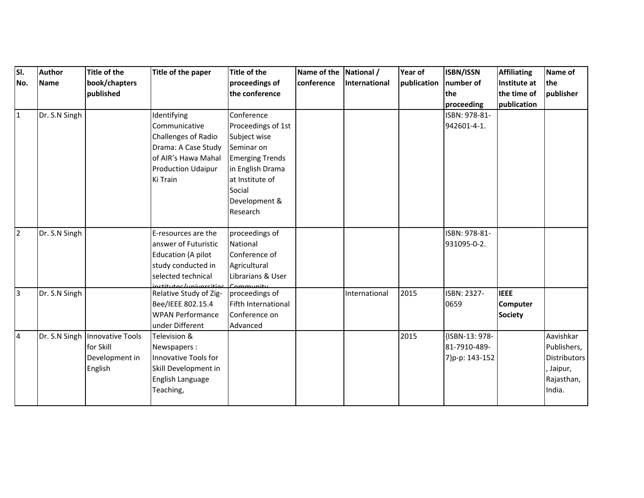| SI.            | <b>Author</b> | Title of the                   | Title of the paper                | <b>Title of the</b>    | Name of the National / |                      | Year of     | ISBN/ISSN      | <b>Affiliating</b> | Name of             |
|----------------|---------------|--------------------------------|-----------------------------------|------------------------|------------------------|----------------------|-------------|----------------|--------------------|---------------------|
| No.            | Name          | book/chapters                  |                                   | proceedings of         | conference             | <b>International</b> | publication | number of      | Institute at       | the                 |
|                |               | published                      |                                   | the conference         |                        |                      |             | the            | the time of        | publisher           |
|                |               |                                |                                   |                        |                        |                      |             | proceeding     | publication        |                     |
| $\mathbf{1}$   | Dr. S.N Singh |                                | Identifying                       | Conference             |                        |                      |             | ISBN: 978-81-  |                    |                     |
|                |               |                                | Communicative                     | Proceedings of 1st     |                        |                      |             | 942601-4-1.    |                    |                     |
|                |               |                                | Challenges of Radio               | Subject wise           |                        |                      |             |                |                    |                     |
|                |               |                                | Drama: A Case Study               | Seminar on             |                        |                      |             |                |                    |                     |
|                |               |                                | of AIR's Hawa Mahal               | <b>Emerging Trends</b> |                        |                      |             |                |                    |                     |
|                |               |                                | <b>Production Udaipur</b>         | in English Drama       |                        |                      |             |                |                    |                     |
|                |               |                                | Ki Train                          | at Institute of        |                        |                      |             |                |                    |                     |
|                |               |                                |                                   | Social                 |                        |                      |             |                |                    |                     |
|                |               |                                |                                   | Development &          |                        |                      |             |                |                    |                     |
|                |               |                                |                                   | Research               |                        |                      |             |                |                    |                     |
|                |               |                                |                                   |                        |                        |                      |             |                |                    |                     |
| $\overline{2}$ | Dr. S.N Singh |                                | E-resources are the               | proceedings of         |                        |                      |             | ISBN: 978-81-  |                    |                     |
|                |               |                                | answer of Futuristic              | National               |                        |                      |             | 931095-0-2.    |                    |                     |
|                |               |                                | Education (A pilot                | Conference of          |                        |                      |             |                |                    |                     |
|                |               |                                | study conducted in                | Agricultural           |                        |                      |             |                |                    |                     |
|                |               |                                | selected technical                | Librarians & User      |                        |                      |             |                |                    |                     |
|                |               |                                | inctitutes/universities Community |                        |                        |                      |             |                |                    |                     |
| 3              | Dr. S.N Singh |                                | Relative Study of Zig-            | proceedings of         |                        | International        | 2015        | ISBN: 2327-    | <b>IEEE</b>        |                     |
|                |               |                                | Bee/IEEE 802.15.4                 | Fifth International    |                        |                      |             | 0659           | <b>Computer</b>    |                     |
|                |               |                                | <b>WPAN Performance</b>           | Conference on          |                        |                      |             |                | <b>Society</b>     |                     |
|                |               |                                | under Different                   | Advanced               |                        |                      |             |                |                    |                     |
| $\overline{a}$ |               | Dr. S.N Singh Innovative Tools | Television &                      |                        |                        |                      | 2015        | {ISBN-13: 978- |                    | Aavishkar           |
|                |               | for Skill                      | Newspapers:                       |                        |                        |                      |             | 81-7910-489-   |                    | Publishers,         |
|                |               | Development in                 | Innovative Tools for              |                        |                        |                      |             | 7}p-p: 143-152 |                    | <b>Distributors</b> |
|                |               | English                        | Skill Development in              |                        |                        |                      |             |                |                    | , Jaipur,           |
|                |               |                                | English Language                  |                        |                        |                      |             |                |                    | Rajasthan,          |
|                |               |                                | Teaching,                         |                        |                        |                      |             |                |                    | India.              |
|                |               |                                |                                   |                        |                        |                      |             |                |                    |                     |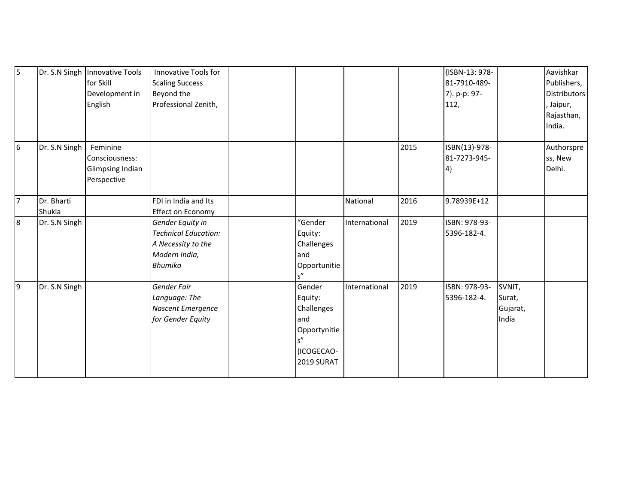| $\overline{5}$ |               | Dr. S.N Singh Innovative Tools<br>for Skill<br>Development in<br>English | Innovative Tools for<br><b>Scaling Success</b><br>Beyond the<br>Professional Zenith,                     |                                                                                           |               |      | {ISBN-13: 978-<br>81-7910-489-<br>7}. p-p: 97-<br>112, |                                       | Aavishkar<br>Publishers,<br>Distributors<br>, Jaipur,<br>Rajasthan,<br>India. |
|----------------|---------------|--------------------------------------------------------------------------|----------------------------------------------------------------------------------------------------------|-------------------------------------------------------------------------------------------|---------------|------|--------------------------------------------------------|---------------------------------------|-------------------------------------------------------------------------------|
| 6              | Dr. S.N Singh | Feminine<br>Consciousness:<br><b>Glimpsing Indian</b><br>Perspective     |                                                                                                          |                                                                                           |               | 2015 | ISBN(13)-978-<br>81-7273-945-<br>$ 4\rangle$           |                                       | Authorspre<br>ss, New<br>Delhi.                                               |
| 7              | Dr. Bharti    |                                                                          | FDI in India and Its                                                                                     |                                                                                           | National      | 2016 | 9.78939E+12                                            |                                       |                                                                               |
|                | Shukla        |                                                                          | Effect on Economy                                                                                        |                                                                                           |               |      |                                                        |                                       |                                                                               |
| 8              | Dr. S.N Singh |                                                                          | Gender Equity in<br><b>Technical Education:</b><br>A Necessity to the<br>Modern India,<br><b>Bhumika</b> | "Gender<br>Equity:<br>Challenges<br>and<br>Opportunitie<br>$s''$                          | International | 2019 | ISBN: 978-93-<br>5396-182-4.                           |                                       |                                                                               |
| 9              | Dr. S.N Singh |                                                                          | Gender Fair<br>Language: The<br>Nascent Emergence<br>for Gender Equity                                   | Gender<br>Equity:<br>Challenges<br>and<br>Opportynitie<br>s''<br>(ICOGECAO-<br>2019 SURAT | International | 2019 | ISBN: 978-93-<br>5396-182-4.                           | SVNIT,<br>Surat,<br>Gujarat,<br>India |                                                                               |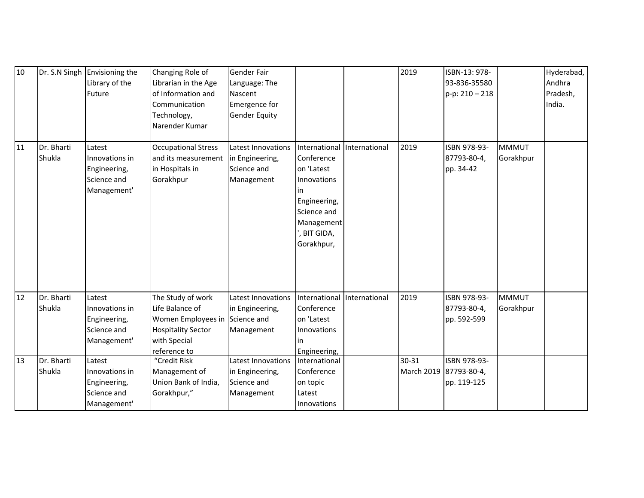| 10 |                      | Dr. S.N Singh Envisioning the<br>Library of the<br>Future              | Changing Role of<br>Librarian in the Age<br>of Information and<br>Communication<br>Technology,<br>Narender Kumar        | Gender Fair<br>Language: The<br>Nascent<br>Emergence for<br><b>Gender Equity</b> |                                                                                                                                          |               | 2019                | ISBN-13: 978-<br>93-836-35580<br>$p-p: 210 - 218$ |                           | Hyderabad,<br>Andhra<br>Pradesh,<br>India. |
|----|----------------------|------------------------------------------------------------------------|-------------------------------------------------------------------------------------------------------------------------|----------------------------------------------------------------------------------|------------------------------------------------------------------------------------------------------------------------------------------|---------------|---------------------|---------------------------------------------------|---------------------------|--------------------------------------------|
| 11 | Dr. Bharti<br>Shukla | Latest<br>Innovations in<br>Engineering,<br>Science and<br>Management' | <b>Occupational Stress</b><br>and its measurement<br>in Hospitals in<br>Gorakhpur                                       | Latest Innovations<br>in Engineering,<br>Science and<br>Management               | International<br>Conference<br>on 'Latest<br>Innovations<br>in<br>Engineering,<br>Science and<br>Management<br>, BIT GIDA,<br>Gorakhpur, | International | 2019                | ISBN 978-93-<br>87793-80-4,<br>pp. 34-42          | <b>MMMUT</b><br>Gorakhpur |                                            |
| 12 | Dr. Bharti<br>Shukla | Latest<br>Innovations in<br>Engineering,<br>Science and<br>Management' | The Study of work<br>Life Balance of<br>Women Employees in<br><b>Hospitality Sector</b><br>with Special<br>reference to | Latest Innovations<br>in Engineering,<br>Science and<br>Management               | International<br>Conference<br>on 'Latest<br>Innovations<br>in<br>Engineering,                                                           | International | 2019                | ISBN 978-93-<br>87793-80-4,<br>pp. 592-599        | <b>MMMUT</b><br>Gorakhpur |                                            |
| 13 | Dr. Bharti<br>Shukla | Latest<br>Innovations in<br>Engineering,<br>Science and<br>Management' | "Credit Risk<br>Management of<br>Union Bank of India,<br>Gorakhpur,"                                                    | Latest Innovations<br>in Engineering,<br>Science and<br>Management               | International<br>Conference<br>on topic<br>Latest<br>Innovations                                                                         |               | 30-31<br>March 2019 | ISBN 978-93-<br>87793-80-4,<br>pp. 119-125        |                           |                                            |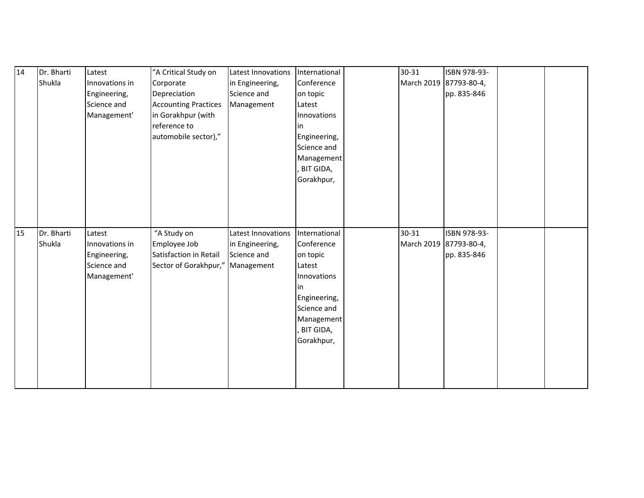| 14 | Dr. Bharti | Latest         | "A Critical Study on             | Latest Innovations | International | 30-31                  | ISBN 978-93- |  |
|----|------------|----------------|----------------------------------|--------------------|---------------|------------------------|--------------|--|
|    | Shukla     | Innovations in | Corporate                        | in Engineering,    | Conference    | March 2019 87793-80-4, |              |  |
|    |            | Engineering,   | Depreciation                     | Science and        | on topic      |                        | pp. 835-846  |  |
|    |            | Science and    | <b>Accounting Practices</b>      | Management         | Latest        |                        |              |  |
|    |            | Management'    | in Gorakhpur (with               |                    | Innovations   |                        |              |  |
|    |            |                | reference to                     |                    | lin           |                        |              |  |
|    |            |                | automobile sector),"             |                    | Engineering,  |                        |              |  |
|    |            |                |                                  |                    | Science and   |                        |              |  |
|    |            |                |                                  |                    | Management    |                        |              |  |
|    |            |                |                                  |                    | BIT GIDA,     |                        |              |  |
|    |            |                |                                  |                    | Gorakhpur,    |                        |              |  |
|    |            |                |                                  |                    |               |                        |              |  |
|    |            |                |                                  |                    |               |                        |              |  |
|    |            |                |                                  |                    |               |                        |              |  |
|    |            |                |                                  |                    |               |                        |              |  |
|    |            |                |                                  |                    |               |                        |              |  |
| 15 | Dr. Bharti | Latest         | "A Study on                      | Latest Innovations | International | 30-31                  | ISBN 978-93- |  |
|    | Shukla     | Innovations in | Employee Job                     | in Engineering,    | Conference    | March 2019 87793-80-4, |              |  |
|    |            | Engineering,   | Satisfaction in Retail           | Science and        | on topic      |                        | pp. 835-846  |  |
|    |            | Science and    | Sector of Gorakhpur," Management |                    | Latest        |                        |              |  |
|    |            | Management'    |                                  |                    | Innovations   |                        |              |  |
|    |            |                |                                  |                    | lin           |                        |              |  |
|    |            |                |                                  |                    | Engineering,  |                        |              |  |
|    |            |                |                                  |                    | Science and   |                        |              |  |
|    |            |                |                                  |                    | Management    |                        |              |  |
|    |            |                |                                  |                    | BIT GIDA,     |                        |              |  |
|    |            |                |                                  |                    | Gorakhpur,    |                        |              |  |
|    |            |                |                                  |                    |               |                        |              |  |
|    |            |                |                                  |                    |               |                        |              |  |
|    |            |                |                                  |                    |               |                        |              |  |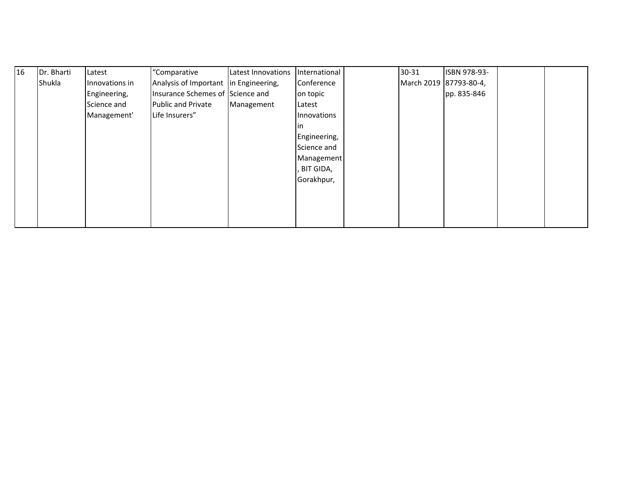| I <sub>16</sub> | Dr. Bharti | Latest         | "Comparative                          | Latest Innovations | International | 30-31                  | ISBN 978-93- |  |
|-----------------|------------|----------------|---------------------------------------|--------------------|---------------|------------------------|--------------|--|
|                 | Shukla     | Innovations in | Analysis of Important in Engineering, |                    | Conference    | March 2019 87793-80-4, |              |  |
|                 |            | Engineering,   | Insurance Schemes of Science and      |                    | on topic      |                        | pp. 835-846  |  |
|                 |            | Science and    | <b>Public and Private</b>             | Management         | Latest        |                        |              |  |
|                 |            | Management'    | Life Insurers"                        |                    | Innovations   |                        |              |  |
|                 |            |                |                                       |                    |               |                        |              |  |
|                 |            |                |                                       |                    | Engineering,  |                        |              |  |
|                 |            |                |                                       |                    | Science and   |                        |              |  |
|                 |            |                |                                       |                    | Management    |                        |              |  |
|                 |            |                |                                       |                    | , BIT GIDA,   |                        |              |  |
|                 |            |                |                                       |                    | Gorakhpur,    |                        |              |  |
|                 |            |                |                                       |                    |               |                        |              |  |
|                 |            |                |                                       |                    |               |                        |              |  |
|                 |            |                |                                       |                    |               |                        |              |  |
|                 |            |                |                                       |                    |               |                        |              |  |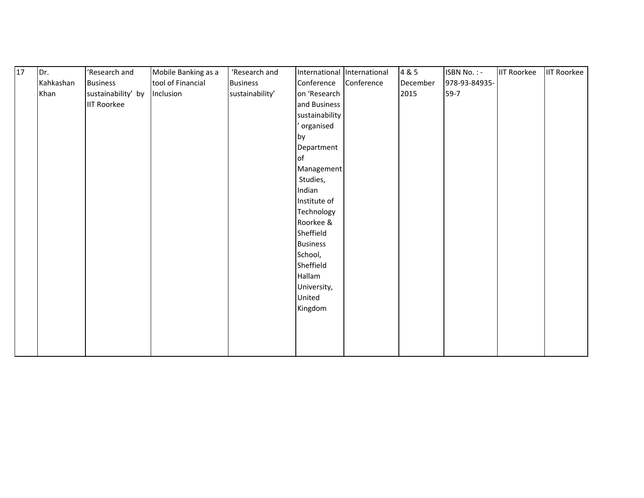| $\overline{17}$ | Dr.       | 'Research and      | Mobile Banking as a | 'Research and   |                 | International International | 4 & 5    | <b>ISBN No.: -</b> | <b>IIT Roorkee</b> | <b>IIT Roorkee</b> |
|-----------------|-----------|--------------------|---------------------|-----------------|-----------------|-----------------------------|----------|--------------------|--------------------|--------------------|
|                 | Kahkashan | <b>Business</b>    | tool of Financial   | <b>Business</b> | Conference      | Conference                  | December | 978-93-84935-      |                    |                    |
|                 | Khan      | sustainability' by | Inclusion           | sustainability' | on 'Research    |                             | 2015     | $59-7$             |                    |                    |
|                 |           | <b>IIT Roorkee</b> |                     |                 | and Business    |                             |          |                    |                    |                    |
|                 |           |                    |                     |                 | sustainability  |                             |          |                    |                    |                    |
|                 |           |                    |                     |                 | organised       |                             |          |                    |                    |                    |
|                 |           |                    |                     |                 | by              |                             |          |                    |                    |                    |
|                 |           |                    |                     |                 | Department      |                             |          |                    |                    |                    |
|                 |           |                    |                     |                 | of              |                             |          |                    |                    |                    |
|                 |           |                    |                     |                 | Management      |                             |          |                    |                    |                    |
|                 |           |                    |                     |                 | Studies,        |                             |          |                    |                    |                    |
|                 |           |                    |                     |                 | Indian          |                             |          |                    |                    |                    |
|                 |           |                    |                     |                 | Institute of    |                             |          |                    |                    |                    |
|                 |           |                    |                     |                 | Technology      |                             |          |                    |                    |                    |
|                 |           |                    |                     |                 | Roorkee &       |                             |          |                    |                    |                    |
|                 |           |                    |                     |                 | Sheffield       |                             |          |                    |                    |                    |
|                 |           |                    |                     |                 | <b>Business</b> |                             |          |                    |                    |                    |
|                 |           |                    |                     |                 | School,         |                             |          |                    |                    |                    |
|                 |           |                    |                     |                 | Sheffield       |                             |          |                    |                    |                    |
|                 |           |                    |                     |                 | Hallam          |                             |          |                    |                    |                    |
|                 |           |                    |                     |                 | University,     |                             |          |                    |                    |                    |
|                 |           |                    |                     |                 | United          |                             |          |                    |                    |                    |
|                 |           |                    |                     |                 | Kingdom         |                             |          |                    |                    |                    |
|                 |           |                    |                     |                 |                 |                             |          |                    |                    |                    |
|                 |           |                    |                     |                 |                 |                             |          |                    |                    |                    |
|                 |           |                    |                     |                 |                 |                             |          |                    |                    |                    |
|                 |           |                    |                     |                 |                 |                             |          |                    |                    |                    |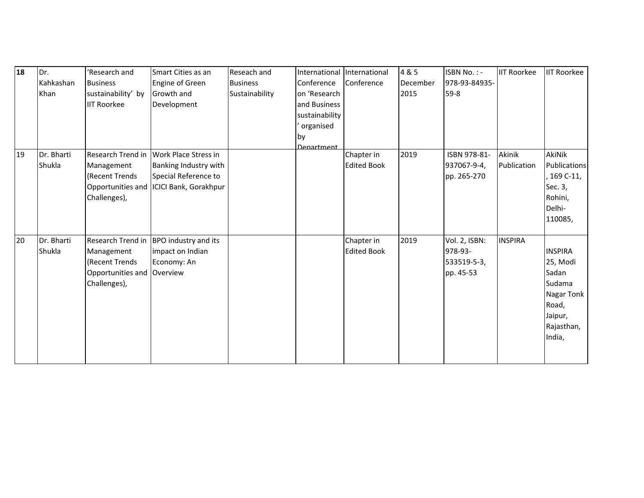| Engine of Green<br>Conference<br>Conference<br>978-93-84935-<br>Kahkashan<br><b>Business</b><br>December<br><b>Business</b> |                                    |
|-----------------------------------------------------------------------------------------------------------------------------|------------------------------------|
| Khan<br>sustainability' by<br>Sustainability<br>on 'Research<br>2015<br>$59-8$<br>Growth and                                |                                    |
| <b>IIT Roorkee</b><br>Development<br>and Business                                                                           |                                    |
| sustainability                                                                                                              |                                    |
| organised                                                                                                                   |                                    |
| <b>by</b>                                                                                                                   |                                    |
| <b>Denartment</b>                                                                                                           |                                    |
| Dr. Bharti<br>Research Trend in Work Place Stress in<br>2019<br>Chapter in<br>ISBN 978-81-<br>19                            | Akinik<br><b>AkiNik</b>            |
| Shukla<br><b>Edited Book</b><br>Banking Industry with<br>937067-9-4,<br>Management                                          | <b>Publications</b><br>Publication |
| (Recent Trends<br>Special Reference to<br>pp. 265-270                                                                       | 169 C-11,                          |
| Opportunities and ICICI Bank, Gorakhpur                                                                                     | Sec. 3,                            |
| Challenges),                                                                                                                | Rohini,                            |
|                                                                                                                             | Delhi-                             |
|                                                                                                                             | 110085,                            |
| Dr. Bharti<br>2019<br>20<br>Research Trend in BPO industry and its<br>Vol. 2, ISBN:<br>Chapter in                           | <b>INSPIRA</b>                     |
| Shukla<br><b>Edited Book</b><br>978-93-<br>Management<br>impact on Indian                                                   | <b>INSPIRA</b>                     |
| (Recent Trends<br>Economy: An<br>533519-5-3,                                                                                | 25, Modi                           |
| Opportunities and Overview<br>pp. 45-53                                                                                     | Sadan                              |
| Challenges),                                                                                                                | Sudama                             |
|                                                                                                                             | Nagar Tonk                         |
|                                                                                                                             | Road,                              |
|                                                                                                                             | Jaipur,                            |
|                                                                                                                             | Rajasthan,                         |
|                                                                                                                             | India,                             |
|                                                                                                                             |                                    |
|                                                                                                                             |                                    |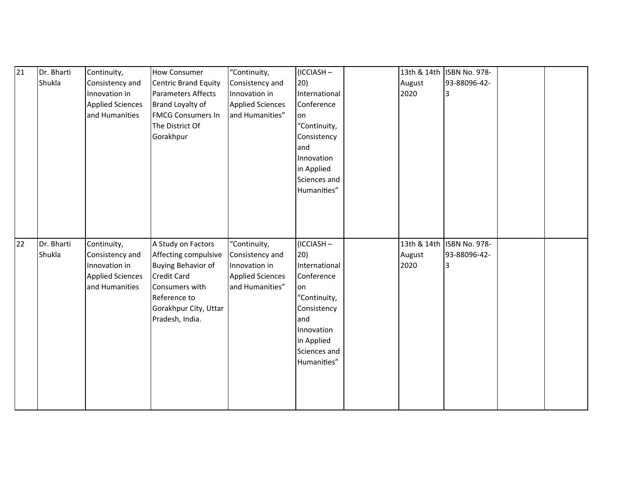| 21 | Dr. Bharti | Continuity,             | <b>How Consumer</b>         | "Continuity,            | (ICCIASH-     |        | 13th & 14th ISBN No. 978- |  |
|----|------------|-------------------------|-----------------------------|-------------------------|---------------|--------|---------------------------|--|
|    | Shukla     | Consistency and         | <b>Centric Brand Equity</b> | Consistency and         | 20)           | August | 93-88096-42-              |  |
|    |            | Innovation in           | <b>Parameters Affects</b>   | Innovation in           | International | 2020   | 3                         |  |
|    |            | <b>Applied Sciences</b> | Brand Loyalty of            | <b>Applied Sciences</b> | Conference    |        |                           |  |
|    |            | and Humanities          | <b>FMCG Consumers In</b>    | and Humanities"         | on            |        |                           |  |
|    |            |                         | The District Of             |                         | "Continuity,  |        |                           |  |
|    |            |                         | Gorakhpur                   |                         | Consistency   |        |                           |  |
|    |            |                         |                             |                         | and           |        |                           |  |
|    |            |                         |                             |                         | Innovation    |        |                           |  |
|    |            |                         |                             |                         | in Applied    |        |                           |  |
|    |            |                         |                             |                         | Sciences and  |        |                           |  |
|    |            |                         |                             |                         | Humanities"   |        |                           |  |
|    |            |                         |                             |                         |               |        |                           |  |
|    |            |                         |                             |                         |               |        |                           |  |
|    |            |                         |                             |                         |               |        |                           |  |
|    |            |                         |                             |                         |               |        |                           |  |
|    |            |                         |                             |                         |               |        |                           |  |
|    |            |                         |                             |                         |               |        |                           |  |
| 22 | Dr. Bharti | Continuity,             | A Study on Factors          | "Continuity,            | (ICCIASH-     |        | 13th & 14th ISBN No. 978- |  |
|    | Shukla     | Consistency and         | Affecting compulsive        | Consistency and         | 20)           | August | 93-88096-42-              |  |
|    |            | Innovation in           | <b>Buying Behavior of</b>   | Innovation in           | International | 2020   | 3                         |  |
|    |            | <b>Applied Sciences</b> | <b>Credit Card</b>          | <b>Applied Sciences</b> | Conference    |        |                           |  |
|    |            | and Humanities          | Consumers with              | and Humanities"         | on            |        |                           |  |
|    |            |                         | Reference to                |                         | "Continuity,  |        |                           |  |
|    |            |                         | Gorakhpur City, Uttar       |                         | Consistency   |        |                           |  |
|    |            |                         | Pradesh, India.             |                         | and           |        |                           |  |
|    |            |                         |                             |                         | Innovation    |        |                           |  |
|    |            |                         |                             |                         | in Applied    |        |                           |  |
|    |            |                         |                             |                         | Sciences and  |        |                           |  |
|    |            |                         |                             |                         | Humanities"   |        |                           |  |
|    |            |                         |                             |                         |               |        |                           |  |
|    |            |                         |                             |                         |               |        |                           |  |
|    |            |                         |                             |                         |               |        |                           |  |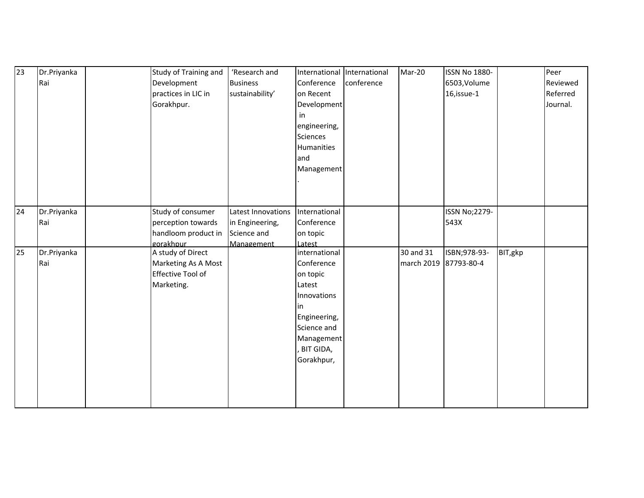| $\overline{23}$ | Dr.Priyanka | Study of Training and    | 'Research and      | International International |            | Mar-20                | <b>ISSN No 1880-</b> |         | Peer     |
|-----------------|-------------|--------------------------|--------------------|-----------------------------|------------|-----------------------|----------------------|---------|----------|
|                 | Rai         | Development              | <b>Business</b>    | Conference                  | conference |                       | 6503, Volume         |         | Reviewed |
|                 |             | practices in LIC in      | sustainability'    | on Recent                   |            |                       | 16, issue-1          |         | Referred |
|                 |             | Gorakhpur.               |                    | Development                 |            |                       |                      |         | Journal. |
|                 |             |                          |                    | in                          |            |                       |                      |         |          |
|                 |             |                          |                    | engineering,                |            |                       |                      |         |          |
|                 |             |                          |                    | Sciences                    |            |                       |                      |         |          |
|                 |             |                          |                    | Humanities                  |            |                       |                      |         |          |
|                 |             |                          |                    | and                         |            |                       |                      |         |          |
|                 |             |                          |                    | Management                  |            |                       |                      |         |          |
|                 |             |                          |                    |                             |            |                       |                      |         |          |
|                 |             |                          |                    |                             |            |                       |                      |         |          |
|                 |             |                          |                    |                             |            |                       |                      |         |          |
| 24              | Dr.Priyanka | Study of consumer        | Latest Innovations | International               |            |                       | <b>ISSN No;2279-</b> |         |          |
|                 | Rai         | perception towards       | in Engineering,    | Conference                  |            |                       | 543X                 |         |          |
|                 |             | handloom product in      | Science and        | on topic                    |            |                       |                      |         |          |
|                 |             | gorakhpur                | Management         | Latest                      |            |                       |                      |         |          |
| 25              | Dr.Priyanka | A study of Direct        |                    | international               |            | 30 and 31             | ISBN;978-93-         | BIT,gkp |          |
|                 | Rai         | Marketing As A Most      |                    | Conference                  |            | march 2019 87793-80-4 |                      |         |          |
|                 |             | <b>Effective Tool of</b> |                    | on topic                    |            |                       |                      |         |          |
|                 |             | Marketing.               |                    | Latest                      |            |                       |                      |         |          |
|                 |             |                          |                    | Innovations                 |            |                       |                      |         |          |
|                 |             |                          |                    | in                          |            |                       |                      |         |          |
|                 |             |                          |                    | Engineering,                |            |                       |                      |         |          |
|                 |             |                          |                    | Science and                 |            |                       |                      |         |          |
|                 |             |                          |                    | Management                  |            |                       |                      |         |          |
|                 |             |                          |                    | <b>BIT GIDA,</b>            |            |                       |                      |         |          |
|                 |             |                          |                    | Gorakhpur,                  |            |                       |                      |         |          |
|                 |             |                          |                    |                             |            |                       |                      |         |          |
|                 |             |                          |                    |                             |            |                       |                      |         |          |
|                 |             |                          |                    |                             |            |                       |                      |         |          |
|                 |             |                          |                    |                             |            |                       |                      |         |          |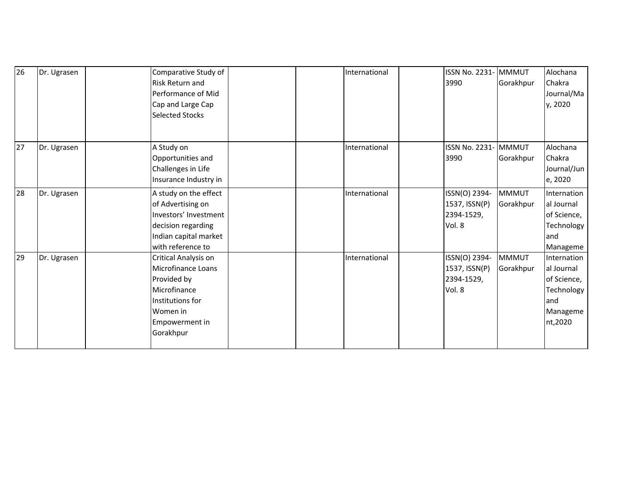| 26 | Dr. Ugrasen | Comparative Study of<br>Risk Return and<br>Performance of Mid<br>Cap and Large Cap<br><b>Selected Stocks</b>                             |  | International | ISSN No. 2231- MMMUT<br>3990                           | Gorakhpur                 | Alochana<br>Chakra<br>Journal/Ma<br>y, 2020                                          |
|----|-------------|------------------------------------------------------------------------------------------------------------------------------------------|--|---------------|--------------------------------------------------------|---------------------------|--------------------------------------------------------------------------------------|
| 27 | Dr. Ugrasen | A Study on<br>Opportunities and<br>Challenges in Life<br>Insurance Industry in                                                           |  | International | ISSN No. 2231-MMMUT<br>3990                            | Gorakhpur                 | Alochana<br>Chakra<br>Journal/Jun<br>e, 2020                                         |
| 28 | Dr. Ugrasen | A study on the effect<br>of Advertising on<br>Investors' Investment<br>decision regarding<br>Indian capital market<br>with reference to  |  | International | ISSN(O) 2394-<br>1537, ISSN(P)<br>2394-1529,<br>Vol. 8 | <b>MMMUT</b><br>Gorakhpur | Internation<br>al Journal<br>of Science,<br>Technology<br>and<br>Manageme            |
| 29 | Dr. Ugrasen | Critical Analysis on<br>Microfinance Loans<br>Provided by<br>Microfinance<br>Institutions for<br>Women in<br>Empowerment in<br>Gorakhpur |  | International | ISSN(O) 2394-<br>1537, ISSN(P)<br>2394-1529,<br>Vol. 8 | <b>MMMUT</b><br>Gorakhpur | Internation<br>al Journal<br>of Science,<br>Technology<br>and<br>Manageme<br>nt,2020 |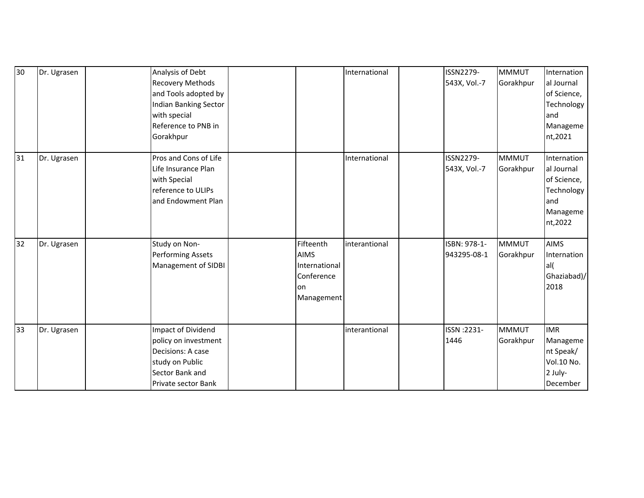| 30 | Dr. Ugrasen | Analysis of Debt<br><b>Recovery Methods</b><br>and Tools adopted by<br>Indian Banking Sector<br>with special<br>Reference to PNB in<br>Gorakhpur |                                                                              | International | ISSN2279-<br>543X, Vol.-7   | <b>MMMUT</b><br>Gorakhpur | Internation<br>al Journal<br>of Science,<br>Technology<br>land<br>Manageme<br>nt,2021 |
|----|-------------|--------------------------------------------------------------------------------------------------------------------------------------------------|------------------------------------------------------------------------------|---------------|-----------------------------|---------------------------|---------------------------------------------------------------------------------------|
| 31 | Dr. Ugrasen | Pros and Cons of Life<br>Life Insurance Plan<br>with Special<br>reference to ULIPs<br>and Endowment Plan                                         |                                                                              | International | ISSN2279-<br>543X, Vol.-7   | <b>MMMUT</b><br>Gorakhpur | Internation<br>al Journal<br>of Science,<br>Technology<br>and<br>Manageme<br>nt,2022  |
| 32 | Dr. Ugrasen | Study on Non-<br><b>Performing Assets</b><br>Management of SIDBI                                                                                 | Fifteenth<br><b>AIMS</b><br>International<br>Conference<br>on.<br>Management | interantional | ISBN: 978-1-<br>943295-08-1 | <b>MMMUT</b><br>Gorakhpur | <b>AIMS</b><br>Internation<br>al(<br>Ghaziabad)/<br>2018                              |
| 33 | Dr. Ugrasen | Impact of Dividend<br>policy on investment<br>Decisions: A case<br>study on Public<br>Sector Bank and<br>Private sector Bank                     |                                                                              | interantional | ISSN : 2231-<br>1446        | <b>MMMUT</b><br>Gorakhpur | <b>IMR</b><br>Manageme<br>nt Speak/<br>Vol.10 No.<br>2 July-<br>December              |

2017